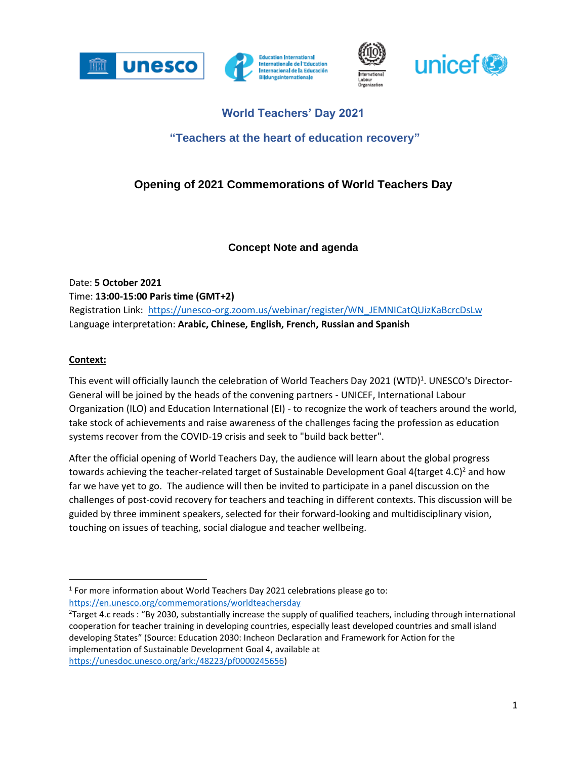





# **World Teachers' Day 2021**

## **"Teachers at the heart of education recovery"**

## **Opening of 2021 Commemorations of World Teachers Day**

### **Concept Note and agenda**

Date: **5 October 2021** Time: **13:00-15:00 Paris time (GMT+2)** Registration Link: [https://unesco-org.zoom.us/webinar/register/WN\\_JEMNICatQUizKaBcrcDsLw](https://unesco-org.zoom.us/webinar/register/WN_JEMNICatQUizKaBcrcDsLw) Language interpretation: **Arabic, Chinese, English, French, Russian and Spanish**

#### **Context:**

This event will officially launch the celebration of World Teachers Day 2021 (WTD)<sup>1</sup>. UNESCO's Director-General will be joined by the heads of the convening partners - UNICEF, International Labour Organization (ILO) and Education International (EI) - to recognize the work of teachers around the world, take stock of achievements and raise awareness of the challenges facing the profession as education systems recover from the COVID-19 crisis and seek to "build back better".

After the official opening of World Teachers Day, the audience will learn about the global progress towards achieving the teacher-related target of Sustainable Development Goal 4(target 4.C)<sup>2</sup> and how far we have yet to go. The audience will then be invited to participate in a panel discussion on the challenges of post-covid recovery for teachers and teaching in different contexts. This discussion will be guided by three imminent speakers, selected for their forward-looking and multidisciplinary vision, touching on issues of teaching, social dialogue and teacher wellbeing.

 $<sup>1</sup>$  For more information about World Teachers Day 2021 celebrations please go to:</sup> <https://en.unesco.org/commemorations/worldteachersday>

<sup>&</sup>lt;sup>2</sup>Target 4.c reads : "By 2030, substantially increase the supply of qualified teachers, including through international cooperation for teacher training in developing countries, especially least developed countries and small island developing States" (Source: Education 2030: Incheon Declaration and Framework for Action for the implementation of Sustainable Development Goal 4, available at [https://unesdoc.unesco.org/ark:/48223/pf0000245656\)](https://unesdoc.unesco.org/ark:/48223/pf0000245656)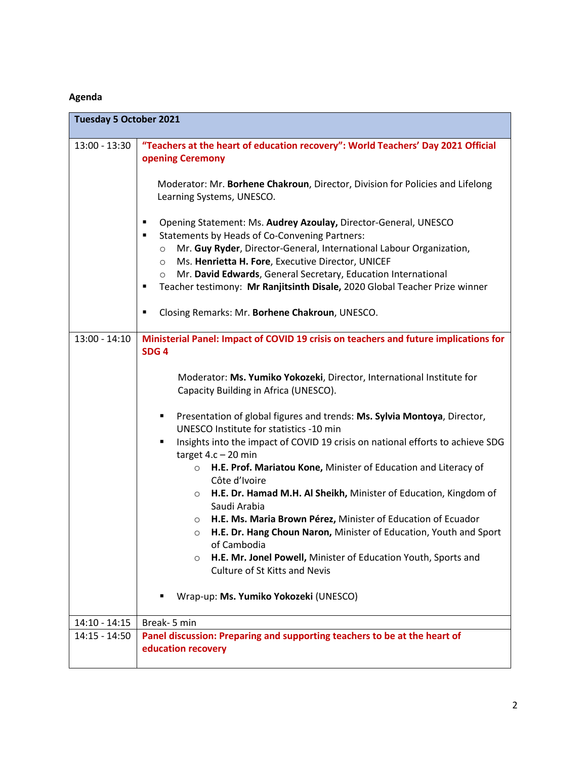### **Agenda**

| <b>Tuesday 5 October 2021</b> |                                                                                                                                                                                                                                                                                                                                                                                                                                                                                                                                                                                                                                                                                                                                                                                                                                                                                                                                                                                                |
|-------------------------------|------------------------------------------------------------------------------------------------------------------------------------------------------------------------------------------------------------------------------------------------------------------------------------------------------------------------------------------------------------------------------------------------------------------------------------------------------------------------------------------------------------------------------------------------------------------------------------------------------------------------------------------------------------------------------------------------------------------------------------------------------------------------------------------------------------------------------------------------------------------------------------------------------------------------------------------------------------------------------------------------|
| $13:00 - 13:30$               | "Teachers at the heart of education recovery": World Teachers' Day 2021 Official<br>opening Ceremony<br>Moderator: Mr. Borhene Chakroun, Director, Division for Policies and Lifelong<br>Learning Systems, UNESCO.<br>Opening Statement: Ms. Audrey Azoulay, Director-General, UNESCO<br>п<br><b>Statements by Heads of Co-Convening Partners:</b><br>$\blacksquare$<br>Mr. Guy Ryder, Director-General, International Labour Organization,<br>$\circ$<br>Ms. Henrietta H. Fore, Executive Director, UNICEF<br>$\circ$<br>Mr. David Edwards, General Secretary, Education International<br>$\circ$<br>Teacher testimony: Mr Ranjitsinth Disale, 2020 Global Teacher Prize winner<br>п<br>Closing Remarks: Mr. Borhene Chakroun, UNESCO.                                                                                                                                                                                                                                                        |
| $13:00 - 14:10$               | Ministerial Panel: Impact of COVID 19 crisis on teachers and future implications for<br>SDG <sub>4</sub><br>Moderator: Ms. Yumiko Yokozeki, Director, International Institute for<br>Capacity Building in Africa (UNESCO).<br>Presentation of global figures and trends: Ms. Sylvia Montoya, Director,<br>٠<br>UNESCO Institute for statistics -10 min<br>Insights into the impact of COVID 19 crisis on national efforts to achieve SDG<br>target $4.c - 20$ min<br>H.E. Prof. Mariatou Kone, Minister of Education and Literacy of<br>$\circ$<br>Côte d'Ivoire<br>H.E. Dr. Hamad M.H. Al Sheikh, Minister of Education, Kingdom of<br>$\circ$<br>Saudi Arabia<br>O H.E. Ms. Maria Brown Pérez, Minister of Education of Ecuador<br>H.E. Dr. Hang Choun Naron, Minister of Education, Youth and Sport<br>$\circ$<br>of Cambodia<br>H.E. Mr. Jonel Powell, Minister of Education Youth, Sports and<br>$\circ$<br><b>Culture of St Kitts and Nevis</b><br>Wrap-up: Ms. Yumiko Yokozeki (UNESCO) |
| $14:10 - 14:15$               | Break- 5 min                                                                                                                                                                                                                                                                                                                                                                                                                                                                                                                                                                                                                                                                                                                                                                                                                                                                                                                                                                                   |
| $14:15 - 14:50$               | Panel discussion: Preparing and supporting teachers to be at the heart of<br>education recovery                                                                                                                                                                                                                                                                                                                                                                                                                                                                                                                                                                                                                                                                                                                                                                                                                                                                                                |